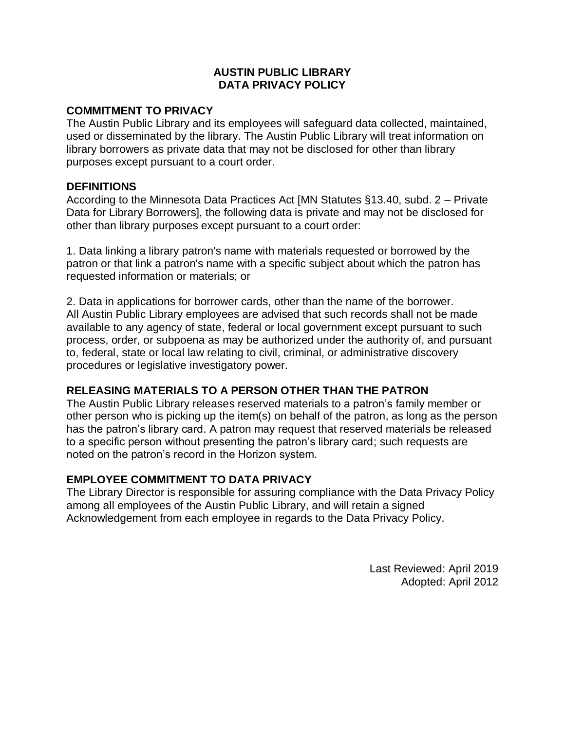## **AUSTIN PUBLIC LIBRARY DATA PRIVACY POLICY**

## **COMMITMENT TO PRIVACY**

The Austin Public Library and its employees will safeguard data collected, maintained, used or disseminated by the library. The Austin Public Library will treat information on library borrowers as private data that may not be disclosed for other than library purposes except pursuant to a court order.

#### **DEFINITIONS**

According to the Minnesota Data Practices Act [MN Statutes §13.40, subd. 2 – Private Data for Library Borrowers], the following data is private and may not be disclosed for other than library purposes except pursuant to a court order:

1. Data linking a library patron's name with materials requested or borrowed by the patron or that link a patron's name with a specific subject about which the patron has requested information or materials; or

2. Data in applications for borrower cards, other than the name of the borrower. All Austin Public Library employees are advised that such records shall not be made available to any agency of state, federal or local government except pursuant to such process, order, or subpoena as may be authorized under the authority of, and pursuant to, federal, state or local law relating to civil, criminal, or administrative discovery procedures or legislative investigatory power.

# **RELEASING MATERIALS TO A PERSON OTHER THAN THE PATRON**

The Austin Public Library releases reserved materials to a patron's family member or other person who is picking up the item(s) on behalf of the patron, as long as the person has the patron's library card. A patron may request that reserved materials be released to a specific person without presenting the patron's library card; such requests are noted on the patron's record in the Horizon system.

# **EMPLOYEE COMMITMENT TO DATA PRIVACY**

The Library Director is responsible for assuring compliance with the Data Privacy Policy among all employees of the Austin Public Library, and will retain a signed Acknowledgement from each employee in regards to the Data Privacy Policy.

> Last Reviewed: April 2019 Adopted: April 2012